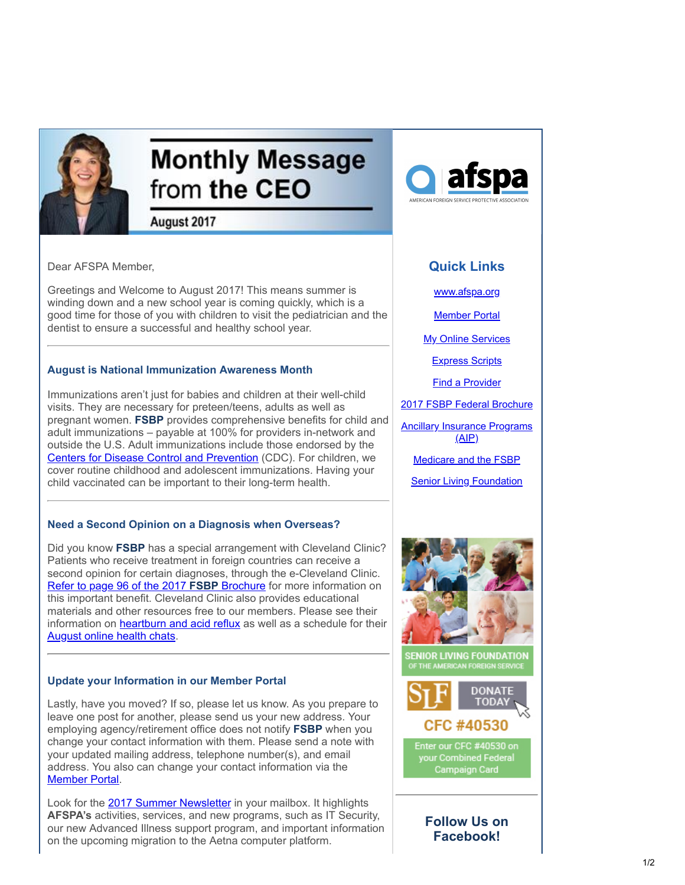

# **Monthly Message** from the CEO

August 2017

Dear AFSPA Member,

Greetings and Welcome to August 2017! This means summer is winding down and a new school year is coming quickly, which is a good time for those of you with children to visit the pediatrician and the dentist to ensure a successful and healthy school year.

### **August is National Immunization Awareness Month**

Immunizations aren't just for babies and children at their well-child visits. They are necessary for preteen/teens, adults as well as pregnant women. **FSBP** provides comprehensive benefits for child and adult immunizations – payable at 100% for providers in-network and outside the U.S. Adult immunizations include those endorsed by the [Centers for Disease Control and Prevention](https://www.cdc.gov/vaccines/schedules/index.html?utm_source=Email_marketing_CEO_Message_August2017&utm_campaign=CEO_Message_Aug2017&cmp=1&utm_medium=HTMLEmail) (CDC). For children, we cover routine childhood and adolescent immunizations. Having your child vaccinated can be important to their long-term health.

## **Need a Second Opinion on a Diagnosis when Overseas?**

Did you know **FSBP** has a special arrangement with Cleveland Clinic? Patients who receive treatment in foreign countries can receive a second opinion for certain diagnoses, through the e-Cleveland Clinic. [Refer to page 96 of the 2017](https://www.afspa.org/filestoreAFSPA/2017RI72-001FSBPBrochure.pdf?utm_source=Email_marketing_CEO_Message_August2017&utm_campaign=CEO_Message_Aug2017&cmp=1&utm_medium=HTMLEmail#page=98) **FSBP** Brochure for more information on this important benefit. Cleveland Clinic also provides educational materials and other resources free to our members. Please see their information on [heartburn and acid reflux](https://www.afspa.org/filestoreAFSPA/ClevelandClinic-GERD-eFlyer-Aug2017-AFSPA.pdf?utm_source=Email_marketing_CEO_Message_August2017&utm_campaign=CEO_Message_Aug2017&cmp=1&utm_medium=HTMLEmail) as well as a schedule for their [August online health chats](https://www.afspa.org/filestoreAFSPA/ClevelandClinicFreeOnlineHealthChats-AFSPA.pdf?utm_source=Email_marketing_CEO_Message_August2017&utm_campaign=CEO_Message_Aug2017&cmp=1&utm_medium=HTMLEmail).

### **Update your Information in our Member Portal**

Lastly, have you moved? If so, please let us know. As you prepare to leave one post for another, please send us your new address. Your employing agency/retirement office does not notify **FSBP** when you change your contact information with them. Please send a note with your updated mailing address, telephone number(s), and email address. You also can change your contact information via the [Member Portal](https://secure.myafspa.org/?utm_source=Email_marketing_CEO_Message_August2017&utm_campaign=CEO_Message_Aug2017&cmp=1&utm_medium=HTMLEmail).

Look for the [2017 Summer Newsletter](https://www.afspa.org/filestoreAFSPA/2017_AFSPA_Summer_Newsletter.pdf.pdf?utm_source=Email_marketing_CEO_Message_August2017&utm_campaign=CEO_Message_Aug2017&cmp=1&utm_medium=HTMLEmail) in your mailbox. It highlights **AFSPA's** activities, services, and new programs, such as IT Security, our new Advanced Illness support program, and important information on the upcoming migration to the Aetna computer platform.



# **Quick Links**

[www.afspa.org](http://www.afspa.org/?utm_source=Email_marketing_CEO_Message_August2017&utm_campaign=CEO_Message_Aug2017&cmp=1&utm_medium=HTMLEmail)

[Member Portal](https://secure.myafspa.org/?utm_source=Email_marketing_CEO_Message_August2017&utm_campaign=CEO_Message_Aug2017&cmp=1&utm_medium=HTMLEmail)

**[My Online Services](https://member.cvty.com/memberPortalWeb/appmanager/memberPortal/member?utm_source=Email_marketing_CEO_Message_August2017&utm_campaign=CEO_Message_Aug2017&cmp=1&utm_medium=HTMLEmail)** 

[Express Scripts](https://www.express-scripts.com/consumer/site/home?partner=FSBP&accessLink=FSBPDCC&utm_source=Email_marketing_CEO_Message_August2017&utm_campaign=CEO_Message_Aug2017&cmp=1&utm_medium=HTMLEmail)

[Find a Provider](http://fsbp.coventryhealthcare.com/member-support/locate-a-provider/index.htm?utm_source=Email_marketing_CEO_Message_August2017&utm_campaign=CEO_Message_Aug2017&cmp=1&utm_medium=HTMLEmail)

[2017 FSBP Federal Brochure](https://www.afspa.org/filestoreAFSPA/2017RI72-001FSBPBrochure.pdf?utm_source=Email_marketing_CEO_Message_August2017&utm_campaign=CEO_Message_Aug2017&cmp=1&utm_medium=HTMLEmail)

[Ancillary Insurance Programs](https://www.afspa.org/aip_home.cfm?utm_source=Email_marketing_CEO_Message_August2017&utm_campaign=CEO_Message_Aug2017&cmp=1&utm_medium=HTMLEmail)  $(AIP)$ 

[Medicare and the FSBP](https://www.afspa.org/filestoreAFSPA/FSBP-17MedicareBooklet.pdf?utm_source=Email_marketing_CEO_Message_August2017&utm_campaign=CEO_Message_Aug2017&cmp=1&utm_medium=HTMLEmail)

[Senior Living Foundation](http://www.slfoundation.org/?utm_source=Email_marketing_CEO_Message_August2017&utm_campaign=CEO_Message_Aug2017&cmp=1&utm_medium=HTMLEmail)





your Combined Federal Campaign Card

**Follow Us on Facebook!**